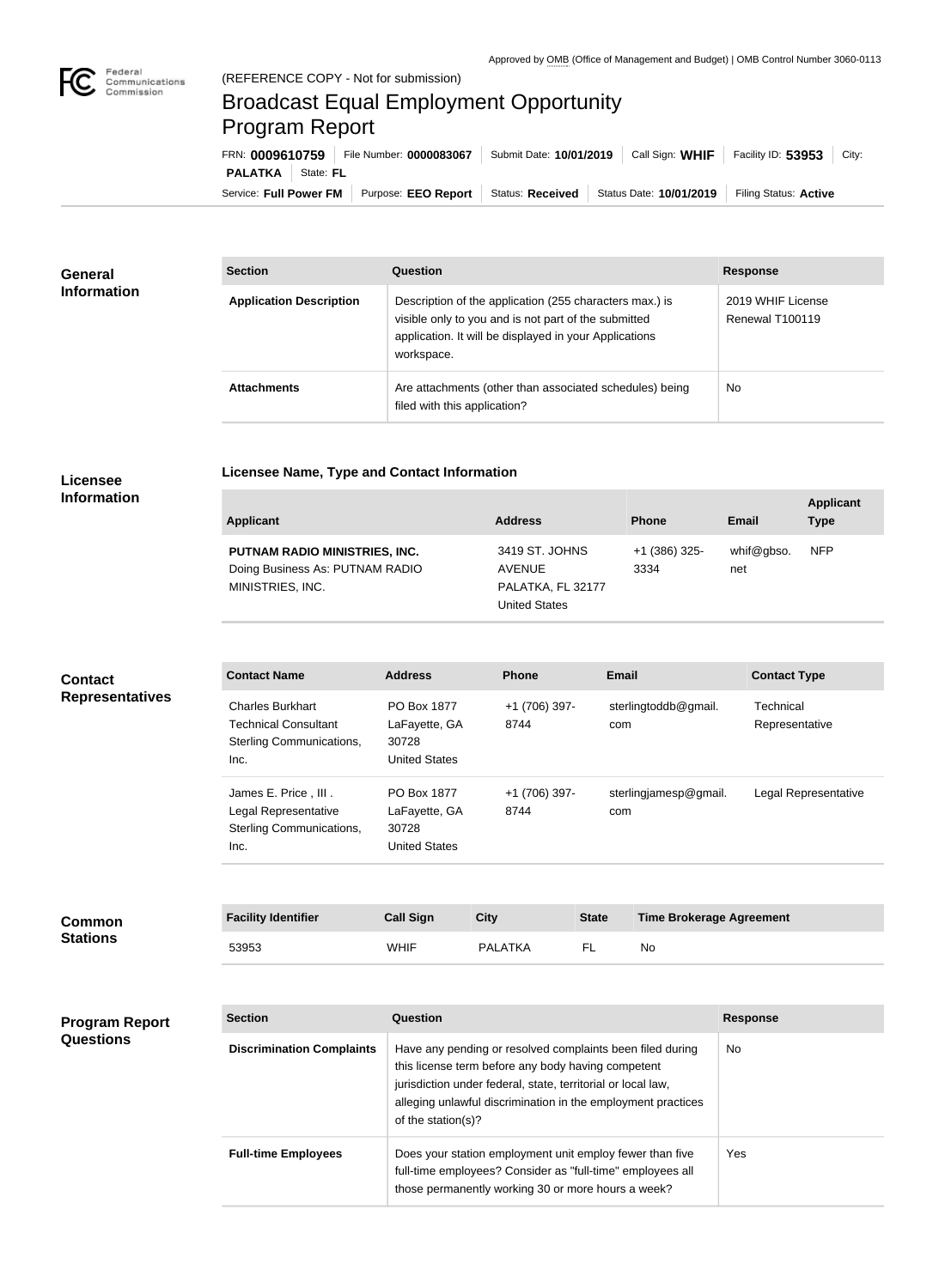

## Broadcast Equal Employment Opportunity Program Report

**Licensee Name, Type and Contact Information**

Service: Full Power FM Purpose: EEO Report | Status: Received | Status Date: 10/01/2019 | Filing Status: Active **PALATKA** | State: FL FRN: **0009610759** File Number: **0000083067** Submit Date: **10/01/2019** Call Sign: **WHIF** Facility ID: **53953** City:

| <b>General</b><br><b>Information</b> | <b>Section</b>                 | Question                                                                                                                                                                                | <b>Response</b>                      |
|--------------------------------------|--------------------------------|-----------------------------------------------------------------------------------------------------------------------------------------------------------------------------------------|--------------------------------------|
|                                      | <b>Application Description</b> | Description of the application (255 characters max.) is<br>visible only to you and is not part of the submitted<br>application. It will be displayed in your Applications<br>workspace. | 2019 WHIF License<br>Renewal T100119 |
|                                      | <b>Attachments</b>             | Are attachments (other than associated schedules) being<br>filed with this application?                                                                                                 | No.                                  |

## **Licensee Information**

| Applicant                                                                            | <b>Address</b>                                                        | <b>Phone</b>          | Email             | <b>Applicant</b><br><b>Type</b> |
|--------------------------------------------------------------------------------------|-----------------------------------------------------------------------|-----------------------|-------------------|---------------------------------|
| PUTNAM RADIO MINISTRIES, INC.<br>Doing Business As: PUTNAM RADIO<br>MINISTRIES, INC. | 3419 ST. JOHNS<br><b>AVENUE</b><br>PALATKA, FL 32177<br>United States | +1 (386) 325-<br>3334 | whif@gbso.<br>net | <b>NFP</b>                      |

| <b>Contact</b>         | <b>Contact Name</b>                                                                        | <b>Address</b>                                                | <b>Phone</b>          | <b>Email</b>                 | <b>Contact Type</b>         |
|------------------------|--------------------------------------------------------------------------------------------|---------------------------------------------------------------|-----------------------|------------------------------|-----------------------------|
| <b>Representatives</b> | <b>Charles Burkhart</b><br><b>Technical Consultant</b><br>Sterling Communications,<br>Inc. | PO Box 1877<br>LaFayette, GA<br>30728<br><b>United States</b> | +1 (706) 397-<br>8744 | sterlingtoddb@gmail.<br>com  | Technical<br>Representative |
|                        | James E. Price, III.<br>Legal Representative<br>Sterling Communications,<br>Inc.           | PO Box 1877<br>LaFayette, GA<br>30728<br><b>United States</b> | +1 (706) 397-<br>8744 | sterlingjamesp@gmail.<br>com | Legal Representative        |

| <b>Common</b><br><b>Stations</b> | <b>Facility Identifier</b> | <b>Call Sign</b> | <b>City</b>    | <b>State</b> | <b>Time Brokerage Agreement</b> |
|----------------------------------|----------------------------|------------------|----------------|--------------|---------------------------------|
|                                  | 53953                      | <b>WHIF</b>      | <b>PALATKA</b> | FL.          | No                              |

| <b>Program Report</b><br><b>Questions</b> | <b>Section</b>                   | Question                                                                                                                                                                                                                                                              | <b>Response</b> |
|-------------------------------------------|----------------------------------|-----------------------------------------------------------------------------------------------------------------------------------------------------------------------------------------------------------------------------------------------------------------------|-----------------|
|                                           | <b>Discrimination Complaints</b> | Have any pending or resolved complaints been filed during<br>this license term before any body having competent<br>jurisdiction under federal, state, territorial or local law,<br>alleging unlawful discrimination in the employment practices<br>of the station(s)? | No.             |
|                                           | <b>Full-time Employees</b>       | Does your station employment unit employ fewer than five<br>full-time employees? Consider as "full-time" employees all<br>those permanently working 30 or more hours a week?                                                                                          | Yes             |